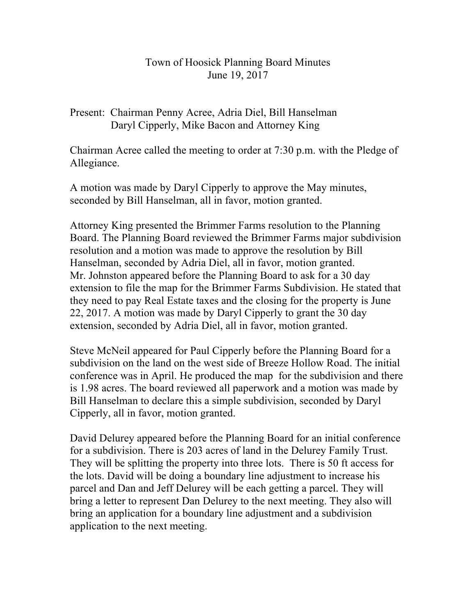## Town of Hoosick Planning Board Minutes June 19, 2017

Present: Chairman Penny Acree, Adria Diel, Bill Hanselman Daryl Cipperly, Mike Bacon and Attorney King

Chairman Acree called the meeting to order at 7:30 p.m. with the Pledge of Allegiance.

A motion was made by Daryl Cipperly to approve the May minutes, seconded by Bill Hanselman, all in favor, motion granted.

Attorney King presented the Brimmer Farms resolution to the Planning Board. The Planning Board reviewed the Brimmer Farms major subdivision resolution and a motion was made to approve the resolution by Bill Hanselman, seconded by Adria Diel, all in favor, motion granted. Mr. Johnston appeared before the Planning Board to ask for a 30 day extension to file the map for the Brimmer Farms Subdivision. He stated that they need to pay Real Estate taxes and the closing for the property is June 22, 2017. A motion was made by Daryl Cipperly to grant the 30 day extension, seconded by Adria Diel, all in favor, motion granted.

Steve McNeil appeared for Paul Cipperly before the Planning Board for a subdivision on the land on the west side of Breeze Hollow Road. The initial conference was in April. He produced the map for the subdivision and there is 1.98 acres. The board reviewed all paperwork and a motion was made by Bill Hanselman to declare this a simple subdivision, seconded by Daryl Cipperly, all in favor, motion granted.

David Delurey appeared before the Planning Board for an initial conference for a subdivision. There is 203 acres of land in the Delurey Family Trust. They will be splitting the property into three lots. There is 50 ft access for the lots. David will be doing a boundary line adjustment to increase his parcel and Dan and Jeff Delurey will be each getting a parcel. They will bring a letter to represent Dan Delurey to the next meeting. They also will bring an application for a boundary line adjustment and a subdivision application to the next meeting.